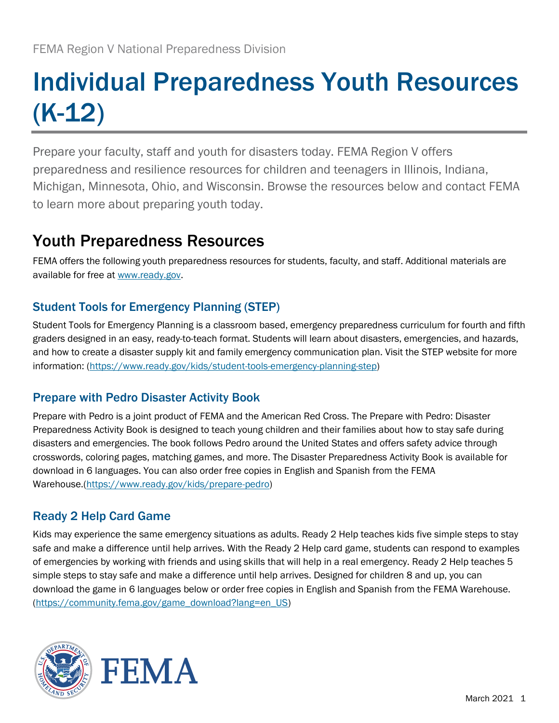# Individual Preparedness Youth Resources (K-12)

Prepare your faculty, staff and youth for disasters today. FEMA Region V offers preparedness and resilience resources for children and teenagers in Illinois, Indiana, Michigan, Minnesota, Ohio, and Wisconsin. Browse the resources below and contact FEMA to learn more about preparing youth today.

# Youth Preparedness Resources

FEMA offers the following youth preparedness resources for students, faculty, and staff. Additional materials are available for free at [www.ready.gov.](http://www.ready.gov/)

### Student Tools for Emergency Planning (STEP)

Student Tools for Emergency Planning is a classroom based, emergency preparedness curriculum for fourth and fifth graders designed in an easy, ready-to-teach format. Students will learn about disasters, emergencies, and hazards, and how to create a disaster supply kit and family emergency communication plan. Visit the STEP website for more information: [\(https://www.ready.gov/kids/student-tools-emergency-planning-step\)](https://www.ready.gov/kids/student-tools-emergency-planning-step)

### Prepare with Pedro Disaster Activity Book

Prepare with Pedro is a joint product of FEMA and the American Red Cross. The Prepare with Pedro: Disaster Preparedness Activity Book is designed to teach young children and their families about how to stay safe during disasters and emergencies. The book follows Pedro around the United States and offers safety advice through crosswords, coloring pages, matching games, and more. The Disaster Preparedness Activity Book is available for download in 6 languages. You can also order free copies in English and Spanish from the FEMA Warehouse.[\(https://www.ready.gov/kids/prepare-pedro\)](https://www.ready.gov/kids/prepare-pedro)

### Ready 2 Help Card Game

Kids may experience the same emergency situations as adults. Ready 2 Help teaches kids five simple steps to stay safe and make a difference until help arrives. With the Ready 2 Help card game, students can respond to examples of emergencies by working with friends and using skills that will help in a real emergency. Ready 2 Help teaches 5 simple steps to stay safe and make a difference until help arrives. Designed for children 8 and up, you can download the game in 6 languages below or order free copies in English and Spanish from the FEMA Warehouse. [\(https://community.fema.gov/game\\_download?lang=en\\_US\)](https://community.fema.gov/game_download?lang=en_US)

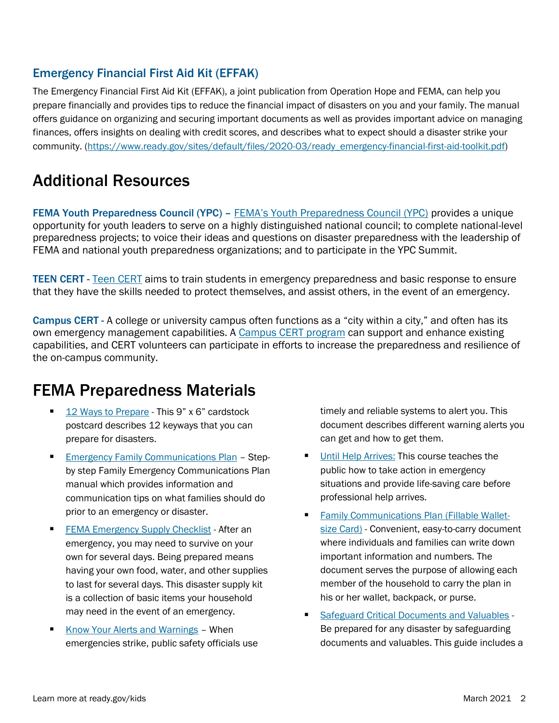### Emergency Financial First Aid Kit (EFFAK)

The Emergency Financial First Aid Kit (EFFAK), a joint publication from Operation Hope and FEMA, can help you prepare financially and provides tips to reduce the financial impact of disasters on you and your family. The manual offers guidance on organizing and securing important documents as well as provides important advice on managing finances, offers insights on dealing with credit scores, and describes what to expect should a disaster strike your community. [\(https://www.ready.gov/sites/default/files/2020-03/ready\\_emergency-financial-first-aid-toolkit.pdf\)](https://www.ready.gov/sites/default/files/2020-03/ready_emergency-financial-first-aid-toolkit.pdf)

## Additional Resources

FEMA Youth Preparedness Council (YPC) – FEMA's [Youth Preparedness Council \(YPC\)](https://www.ready.gov/kids/youth-preparedness-council) provides a unique opportunity for youth leaders to serve on a highly distinguished national council; to complete national-level preparedness projects; to voice their ideas and questions on disaster preparedness with the leadership of FEMA and national youth preparedness organizations; and to participate in the YPC Summit.

TEEN CERT - [Teen CERT](https://www.ready.gov/kids/teen-cert) aims to train students in emergency preparedness and basic response to ensure that they have the skills needed to protect themselves, and assist others, in the event of an emergency.

Campus CERT - A college or university campus often functions as a "city within a city," and often has its own emergency management capabilities. A [Campus CERT program](https://www.ready.gov/cert) can support and enhance existing capabilities, and CERT volunteers can participate in efforts to increase the preparedness and resilience of the on-campus community.

### FEMA Preparedness Materials

- [12 Ways to Prepare](https://www.ready.gov/sites/default/files/2020-11/ready_12-ways-to-prepare_postcard.pdf) This 9" x 6" cardstock postcard describes 12 keyways that you can prepare for disasters.
- **[Emergency Family Communications Plan](https://www.ready.gov/sites/default/files/2020-03/create-your-family-emergency-communication-plan.pdf) Step**by step Family Emergency Communications Plan manual which provides information and communication tips on what families should do prior to an emergency or disaster.
- **ERMA Emergency Supply Checklist After an** emergency, you may need to survive on your own for several days. Being prepared means having your own food, water, and other supplies to last for several days. This disaster supply kit is a collection of basic items your household may need in the event of an emergency.
- [Know Your Alerts and Warnings](https://www.ready.gov/sites/default/files/2020-03/ready_know-your-alerts-and-warnings.pdf) When emergencies strike, public safety officials use

timely and reliable systems to alert you. This document describes different warning alerts you can get and how to get them.

- **[Until Help Arrives:](https://community.fema.gov/until-help-arrives) This course teaches the** public how to take action in emergency situations and provide life-saving care before professional help arrives.
- **[Family Communications Plan \(Fillable Wallet](https://www.ready.gov/sites/default/files/2020-03/family-communication-plan_fillable-card.pdf)**[size Card\)](https://www.ready.gov/sites/default/files/2020-03/family-communication-plan_fillable-card.pdf) - Convenient, easy-to-carry document where individuals and families can write down important information and numbers. The document serves the purpose of allowing each member of the household to carry the plan in his or her wallet, backpack, or purse.
- Safeguard Critical [Documents and Valuables](https://www.ready.gov/sites/default/files/2020-03/fema_safeguard-critical-documents-and-valuables.pdf) -Be prepared for any disaster by safeguarding documents and valuables. This guide includes a